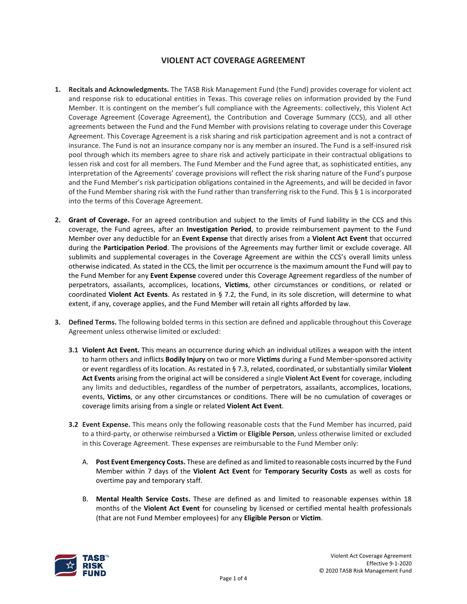## **VIOLENT ACT COVERAGE AGREEMENT**

- **1. Recitals and Acknowledgments.** The TASB Risk Management Fund (the Fund) provides coverage for violent act and response risk to educational entities in Texas. This coverage relies on information provided by the Fund Member. It is contingent on the member's full compliance with the Agreements: collectively, this Violent Act Coverage Agreement (Coverage Agreement), the Contribution and Coverage Summary (CCS), and all other agreements between the Fund and the Fund Member with provisions relating to coverage under this Coverage Agreement. This Coverage Agreement is a risk sharing and risk participation agreement and is not a contract of insurance. The Fund is not an insurance company nor is any member an insured. The Fund is a self-insured risk pool through which its members agree to share risk and actively participate in their contractual obligations to lessen risk and cost for all members. The Fund Member and the Fund agree that, as sophisticated entities, any interpretation of the Agreements' coverage provisions will reflect the risk sharing nature of the Fund's purpose and the Fund Member's risk participation obligations contained in the Agreements, and will be decided in favor of the Fund Member sharing risk with the Fund rather than transferring risk to the Fund. This § 1 is incorporated into the terms of this Coverage Agreement.
- **2. Grant of Coverage.** For an agreed contribution and subject to the limits of Fund liability in the CCS and this coverage, the Fund agrees, after an **Investigation Period**, to provide reimbursement payment to the Fund Member over any deductible for an **Event Expense** that directly arises from a **Violent Act Event** that occurred during the **Participation Period**. The provisions of the Agreements may further limit or exclude coverage. All sublimits and supplemental coverages in the Coverage Agreement are within the CCS's overall limits unless otherwise indicated. As stated in the CCS, the limit per occurrence is the maximum amount the Fund will pay to the Fund Member for any **Event Expense** covered under this Coverage Agreement regardless of the number of perpetrators, assailants, accomplices, locations, **Victims**, other circumstances or conditions, or related or coordinated **Violent Act Events**. As restated in § 7.2, the Fund, in its sole discretion, will determine to what extent, if any, coverage applies, and the Fund Member will retain all rights afforded by law.
- **3. Defined Terms.** The following bolded terms in this section are defined and applicable throughout this Coverage Agreement unless otherwise limited or excluded:
	- **3.1 Violent Act Event.** This means an occurrence during which an individual utilizes a weapon with the intent to harm others and inflicts **Bodily Injury** on two or more **Victims** during a Fund Member-sponsored activity or event regardless of its location. As restated in § 7.3, related, coordinated, or substantially similar **Violent Act Events** arising from the original act will be considered a single **Violent Act Event** for coverage, including any limits and deductibles, regardless of the number of perpetrators, assailants, accomplices, locations, events, **Victims**, or any other circumstances or conditions. There will be no cumulation of coverages or coverage limits arising from a single or related **Violent Act Event**.
	- **3.2 Event Expense.** This means only the following reasonable costs that the Fund Member has incurred, paid to a third-party, or otherwise reimbursed a **Victim** or **Eligible Person**, unless otherwise limited or excluded in this Coverage Agreement. These expenses are reimbursable to the Fund Member only:
		- A. **Post Event Emergency Costs.** These are defined as and limited to reasonable costsincurred by the Fund Member within 7 days of the **Violent Act Event** for **Temporary Security Costs** as well as costs for overtime pay and temporary staff.
		- B. **Mental Health Service Costs.** These are defined as and limited to reasonable expenses within 18 months of the **Violent Act Event** for counseling by licensed or certified mental health professionals (that are not Fund Member employees) for any **Eligible Person** or **Victim**.

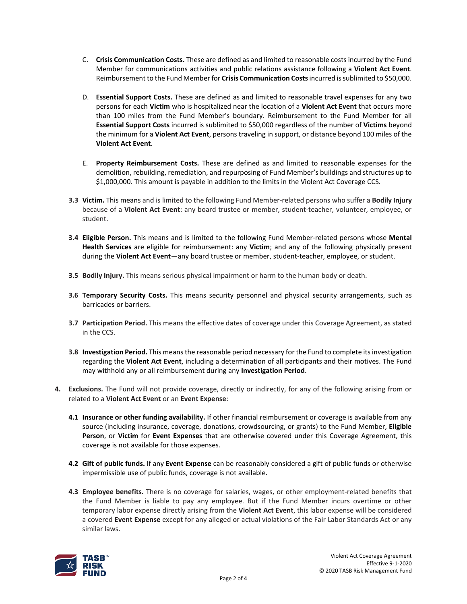- C. **Crisis Communication Costs.** These are defined as and limited to reasonable costs incurred by the Fund Member for communications activities and public relations assistance following a **Violent Act Event**. Reimbursement to the Fund Member for **Crisis Communication Costs**incurred issublimited to \$50,000.
- D. **Essential Support Costs.** These are defined as and limited to reasonable travel expenses for any two persons for each **Victim** who is hospitalized near the location of a **Violent Act Event** that occurs more than 100 miles from the Fund Member's boundary. Reimbursement to the Fund Member for all **Essential Support Costs** incurred is sublimited to \$50,000 regardless of the number of **Victims** beyond the minimum for a **Violent Act Event**, persons traveling in support, or distance beyond 100 miles of the **Violent Act Event**.
- E. **Property Reimbursement Costs.** These are defined as and limited to reasonable expenses for the demolition, rebuilding, remediation, and repurposing of Fund Member's buildings and structures up to \$1,000,000. This amount is payable in addition to the limits in the Violent Act Coverage CCS.
- **3.3 Victim.** This means and is limited to the following Fund Member-related persons who suffer a **Bodily Injury** because of a **Violent Act Event**: any board trustee or member, student-teacher, volunteer, employee, or student.
- **3.4 Eligible Person.** This means and is limited to the following Fund Member-related persons whose **Mental Health Services** are eligible for reimbursement: any **Victim**; and any of the following physically present during the **Violent Act Event**—any board trustee or member, student-teacher, employee, or student.
- **3.5 Bodily Injury.** This means serious physical impairment or harm to the human body or death.
- **3.6 Temporary Security Costs.** This means security personnel and physical security arrangements, such as barricades or barriers.
- **3.7 Participation Period.** This means the effective dates of coverage under this Coverage Agreement, as stated in the CCS.
- **3.8 Investigation Period.** This means the reasonable period necessary for the Fund to complete itsinvestigation regarding the **Violent Act Event**, including a determination of all participants and their motives. The Fund may withhold any or all reimbursement during any **Investigation Period**.
- **4. Exclusions.** The Fund will not provide coverage, directly or indirectly, for any of the following arising from or related to a **Violent Act Event** or an **Event Expense**:
	- **4.1 Insurance or other funding availability.** If other financial reimbursement or coverage is available from any source (including insurance, coverage, donations, crowdsourcing, or grants) to the Fund Member, **Eligible Person**, or **Victim** for **Event Expenses** that are otherwise covered under this Coverage Agreement, this coverage is not available for those expenses.
	- **4.2 Gift of public funds.** If any **Event Expense** can be reasonably considered a gift of public funds or otherwise impermissible use of public funds, coverage is not available.
	- **4.3 Employee benefits.** There is no coverage for salaries, wages, or other employment-related benefits that the Fund Member is liable to pay any employee. But if the Fund Member incurs overtime or other temporary labor expense directly arising from the **Violent Act Event**, this labor expense will be considered a covered **Event Expense** except for any alleged or actual violations of the Fair Labor Standards Act or any similar laws.

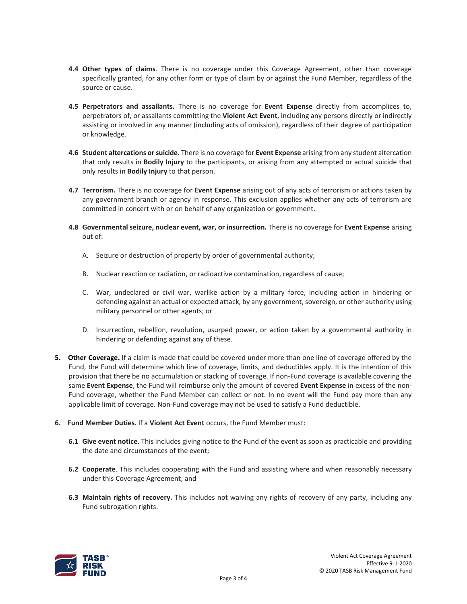- **4.4 Other types of claims**. There is no coverage under this Coverage Agreement, other than coverage specifically granted, for any other form or type of claim by or against the Fund Member, regardless of the source or cause.
- **4.5 Perpetrators and assailants.** There is no coverage for **Event Expense** directly from accomplices to, perpetrators of, or assailants committing the **Violent Act Event**, including any persons directly or indirectly assisting or involved in any manner (including acts of omission), regardless of their degree of participation or knowledge.
- **4.6 Student altercations or suicide.** There is no coverage for **Event Expense** arising from any student altercation that only results in **Bodily Injury** to the participants, or arising from any attempted or actual suicide that only results in **Bodily Injury** to that person.
- **4.7 Terrorism.** There is no coverage for **Event Expense** arising out of any acts of terrorism or actions taken by any government branch or agency in response. This exclusion applies whether any acts of terrorism are committed in concert with or on behalf of any organization or government.
- **4.8 Governmental seizure, nuclear event, war, or insurrection.** There is no coverage for **Event Expense** arising out of:
	- A. Seizure or destruction of property by order of governmental authority;
	- B. Nuclear reaction or radiation, or radioactive contamination, regardless of cause;
	- C. War, undeclared or civil war, warlike action by a military force, including action in hindering or defending against an actual or expected attack, by any government, sovereign, or other authority using military personnel or other agents; or
	- D. Insurrection, rebellion, revolution, usurped power, or action taken by a governmental authority in hindering or defending against any of these.
- **5. Other Coverage.** If a claim is made that could be covered under more than one line of coverage offered by the Fund, the Fund will determine which line of coverage, limits, and deductibles apply. It is the intention of this provision that there be no accumulation or stacking of coverage. If non-Fund coverage is available covering the same **Event Expense**, the Fund will reimburse only the amount of covered **Event Expense** in excess of the non-Fund coverage, whether the Fund Member can collect or not. In no event will the Fund pay more than any applicable limit of coverage. Non-Fund coverage may not be used to satisfy a Fund deductible.
- **6. Fund Member Duties.** If a **Violent Act Event** occurs, the Fund Member must:
	- **6.1 Give event notice**. This includes giving notice to the Fund of the event as soon as practicable and providing the date and circumstances of the event;
	- **6.2 Cooperate**. This includes cooperating with the Fund and assisting where and when reasonably necessary under this Coverage Agreement; and
	- **6.3 Maintain rights of recovery.** This includes not waiving any rights of recovery of any party, including any Fund subrogation rights.